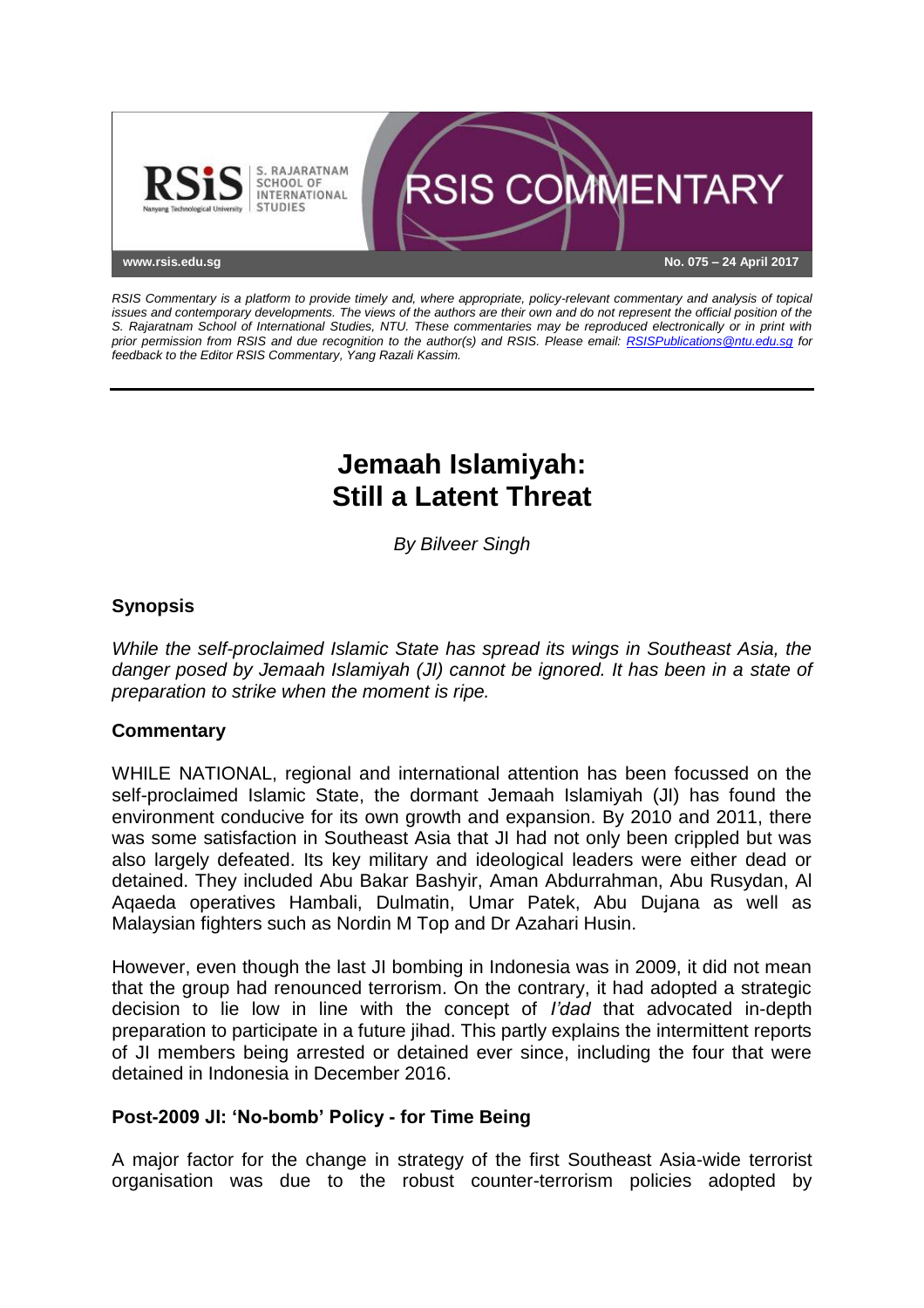

*RSIS Commentary is a platform to provide timely and, where appropriate, policy-relevant commentary and analysis of topical issues and contemporary developments. The views of the authors are their own and do not represent the official position of the S. Rajaratnam School of International Studies, NTU. These commentaries may be reproduced electronically or in print with prior permission from RSIS and due recognition to the author(s) and RSIS. Please email: [RSISPublications@ntu.edu.sg](mailto:RSISPublications@ntu.edu.sg) for feedback to the Editor RSIS Commentary, Yang Razali Kassim.*

# **Jemaah Islamiyah: Still a Latent Threat**

*By Bilveer Singh*

# **Synopsis**

*While the self-proclaimed Islamic State has spread its wings in Southeast Asia, the danger posed by Jemaah Islamiyah (JI) cannot be ignored. It has been in a state of preparation to strike when the moment is ripe.*

### **Commentary**

WHILE NATIONAL, regional and international attention has been focussed on the self-proclaimed Islamic State, the dormant Jemaah Islamiyah (JI) has found the environment conducive for its own growth and expansion. By 2010 and 2011, there was some satisfaction in Southeast Asia that JI had not only been crippled but was also largely defeated. Its key military and ideological leaders were either dead or detained. They included Abu Bakar Bashyir, Aman Abdurrahman, Abu Rusydan, Al Aqaeda operatives Hambali, Dulmatin, Umar Patek, Abu Dujana as well as Malaysian fighters such as Nordin M Top and Dr Azahari Husin.

However, even though the last JI bombing in Indonesia was in 2009, it did not mean that the group had renounced terrorism. On the contrary, it had adopted a strategic decision to lie low in line with the concept of *I'dad* that advocated in-depth preparation to participate in a future jihad. This partly explains the intermittent reports of JI members being arrested or detained ever since, including the four that were detained in Indonesia in December 2016.

### **Post-2009 JI: 'No-bomb' Policy - for Time Being**

A major factor for the change in strategy of the first Southeast Asia-wide terrorist organisation was due to the robust counter-terrorism policies adopted by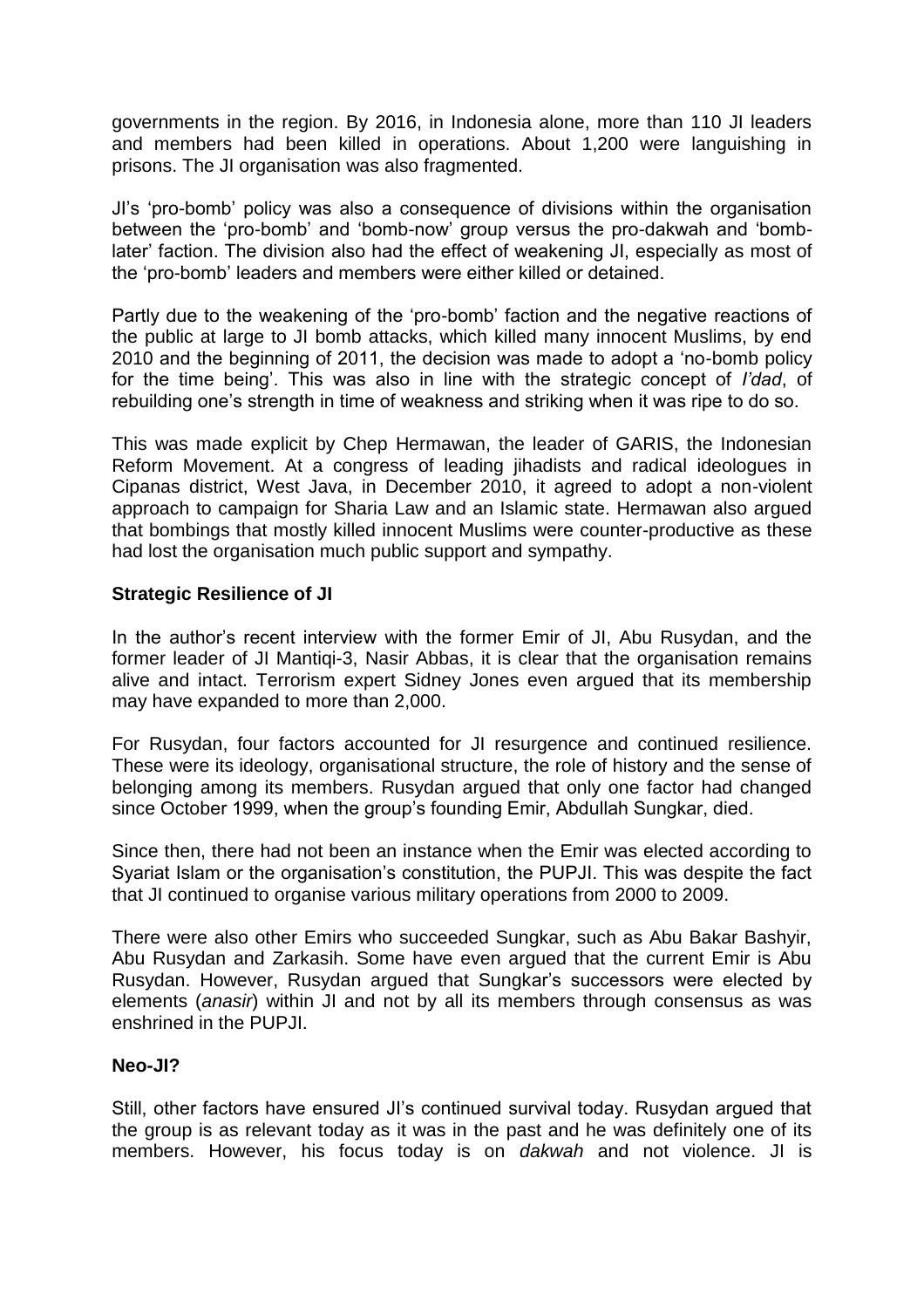governments in the region. By 2016, in Indonesia alone, more than 110 JI leaders and members had been killed in operations. About 1,200 were languishing in prisons. The JI organisation was also fragmented.

JI's 'pro-bomb' policy was also a consequence of divisions within the organisation between the 'pro-bomb' and 'bomb-now' group versus the pro-dakwah and 'bomblater' faction. The division also had the effect of weakening JI, especially as most of the 'pro-bomb' leaders and members were either killed or detained.

Partly due to the weakening of the 'pro-bomb' faction and the negative reactions of the public at large to JI bomb attacks, which killed many innocent Muslims, by end 2010 and the beginning of 2011, the decision was made to adopt a 'no-bomb policy for the time being'. This was also in line with the strategic concept of *I'dad*, of rebuilding one's strength in time of weakness and striking when it was ripe to do so.

This was made explicit by Chep Hermawan, the leader of GARIS, the Indonesian Reform Movement. At a congress of leading jihadists and radical ideologues in Cipanas district, West Java, in December 2010, it agreed to adopt a non-violent approach to campaign for Sharia Law and an Islamic state. Hermawan also argued that bombings that mostly killed innocent Muslims were counter-productive as these had lost the organisation much public support and sympathy.

### **Strategic Resilience of JI**

In the author's recent interview with the former Emir of JI, Abu Rusydan, and the former leader of JI Mantiqi-3, Nasir Abbas, it is clear that the organisation remains alive and intact. Terrorism expert Sidney Jones even argued that its membership may have expanded to more than 2,000.

For Rusydan, four factors accounted for JI resurgence and continued resilience. These were its ideology, organisational structure, the role of history and the sense of belonging among its members. Rusydan argued that only one factor had changed since October 1999, when the group's founding Emir, Abdullah Sungkar, died.

Since then, there had not been an instance when the Emir was elected according to Syariat Islam or the organisation's constitution, the PUPJI. This was despite the fact that JI continued to organise various military operations from 2000 to 2009.

There were also other Emirs who succeeded Sungkar, such as Abu Bakar Bashyir, Abu Rusydan and Zarkasih. Some have even argued that the current Emir is Abu Rusydan. However, Rusydan argued that Sungkar's successors were elected by elements (*anasir*) within JI and not by all its members through consensus as was enshrined in the PUPJI.

#### **Neo-JI?**

Still, other factors have ensured JI's continued survival today. Rusydan argued that the group is as relevant today as it was in the past and he was definitely one of its members. However, his focus today is on *dakwah* and not violence. JI is